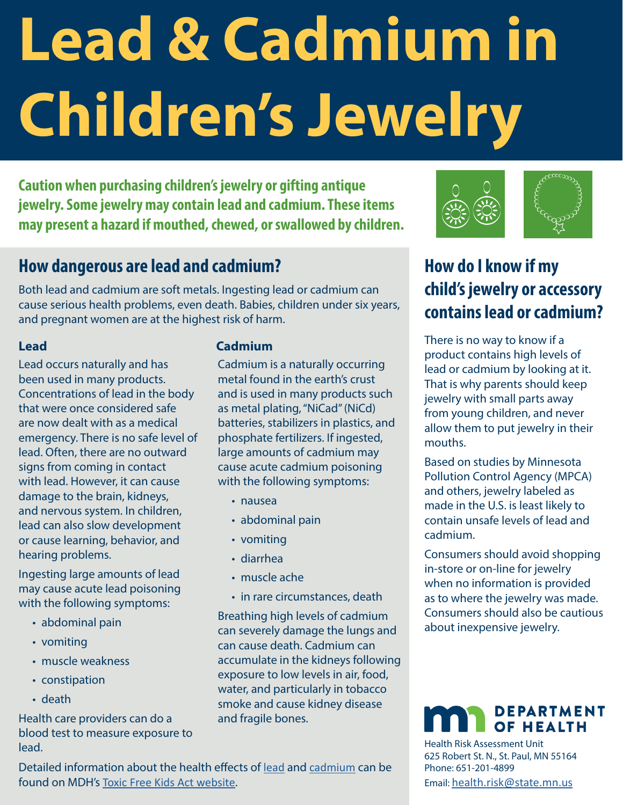# **Lead & Cadmium in Children's Jewelry**

**Caution when purchasing children's jewelry or gifting antique jewelry. Some jewelry may contain lead and cadmium. These items may present a hazard if mouthed, chewed, or swallowed by children.** 

#### **How dangerous are lead and cadmium?**

Both lead and cadmium are soft metals. Ingesting lead or cadmium can cause serious health problems, even death. Babies, children under six years, and pregnant women are at the highest risk of harm.

#### **Lead**

Lead occurs naturally and has been used in many products. Concentrations of lead in the body that were once considered safe are now dealt with as a medical emergency. There is no safe level of lead. Often, there are no outward signs from coming in contact with lead. However, it can cause damage to the brain, kidneys, and nervous system. In children, lead can also slow development or cause learning, behavior, and hearing problems.

Ingesting large amounts of lead may cause acute lead poisoning with the following symptoms:

- abdominal pain
- vomiting
- muscle weakness
- constipation
- death

Health care providers can do a blood test to measure exposure to lead.

#### **Cadmium**

Cadmium is a naturally occurring metal found in the earth's crust and is used in many products such as metal plating, "NiCad" (NiCd) batteries, stabilizers in plastics, and phosphate fertilizers. If ingested, large amounts of cadmium may cause acute cadmium poisoning with the following symptoms:

- nausea
- abdominal pain
- vomiting
- diarrhea
- muscle ache
- in rare circumstances, death

Breathing high levels of cadmium can severely damage the lungs and can cause death. Cadmium can accumulate in the kidneys following exposure to low levels in air, food, water, and particularly in tobacco smoke and cause kidney disease and fragile bones.





# **How do I know if my child's jewelry or accessory contains lead or cadmium?**

There is no way to know if a product contains high levels of lead or cadmium by looking at it. That is why parents should keep jewelry with small parts away from young children, and never allow them to put jewelry in their mouths.

Based on studies by Minnesota Pollution Control Agency (MPCA) and others, jewelry labeled as made in the U.S. is least likely to contain unsafe levels of lead and cadmium.

Consumers should avoid shopping in-store or on-line for jewelry when no information is provided as to where the jewelry was made. Consumers should also be cautious about inexpensive jewelry.

#### **DEPARTMENT** OF HEALTH

Health Risk Assessment Unit 625 Robert St. N., St. Paul, MN 55164 Phone: 651-201-4899 Email: [health.risk@state.mn.us](mailto:health.risk%40state.mn.us?subject=)